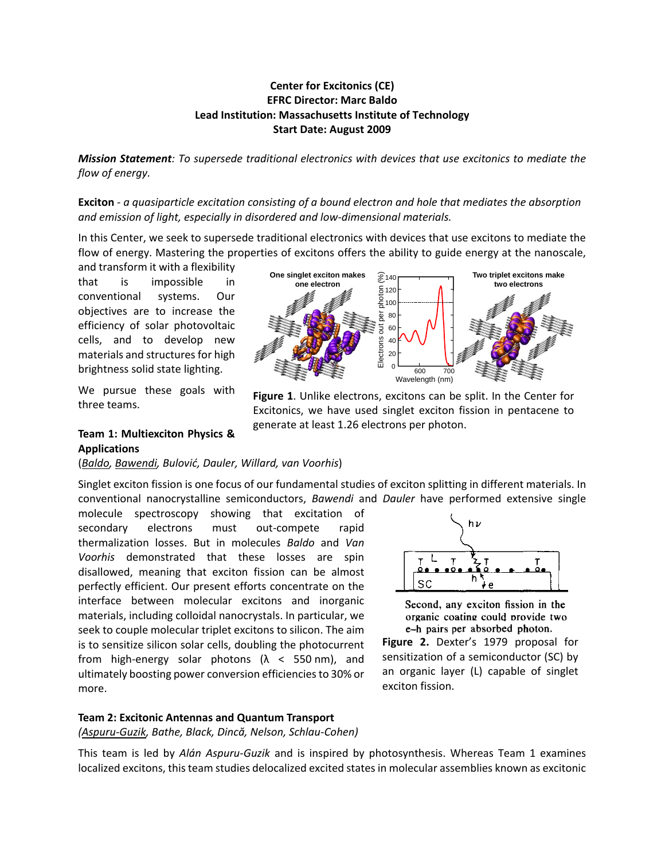### **Center for Excitonics (CE) EFRC Director: Marc Baldo Lead Institution: Massachusetts Institute of Technology Start Date: August 2009**

*Mission Statement: To supersede traditional electronics with devices that use excitonics to mediate the flow of energy.*

**Exciton** *- a quasiparticle excitation consisting of a bound electron and hole that mediates the absorption and emission of light, especially in disordered and low-dimensional materials.*

In this Center, we seek to supersede traditional electronics with devices that use excitons to mediate the flow of energy. Mastering the properties of excitons offers the ability to guide energy at the nanoscale,

and transform it with a flexibility that is impossible in conventional systems. Our objectives are to increase the efficiency of solar photovoltaic cells, and to develop new materials and structures for high brightness solid state lighting.

We pursue these goals with three teams.



**Figure 1**. Unlike electrons, excitons can be split. In the Center for Excitonics, we have used singlet exciton fission in pentacene to generate at least 1.26 electrons per photon.

#### **Team 1: Multiexciton Physics & Applications**

(*Baldo, Bawendi, Bulović, Dauler, Willard, van Voorhis*)

Singlet exciton fission is one focus of our fundamental studies of exciton splitting in different materials. In conventional nanocrystalline semiconductors, *Bawendi* and *Dauler* have performed extensive single

molecule spectroscopy showing that excitation of secondary electrons must out-compete rapid thermalization losses. But in molecules *Baldo* and *Van Voorhis* demonstrated that these losses are spin disallowed, meaning that exciton fission can be almost perfectly efficient. Our present efforts concentrate on the interface between molecular excitons and inorganic materials, including colloidal nanocrystals. In particular, we seek to couple molecular triplet excitons to silicon. The aim is to sensitize silicon solar cells, doubling the photocurrent from high-energy solar photons  $(\lambda < 550 \text{ nm})$ , and ultimately boosting power conversion efficiencies to 30% or more.



Second, any exciton fission in the organic coating could provide two e-h pairs per absorbed photon.

**Figure 2.** Dexter's 1979 proposal for sensitization of a semiconductor (SC) by an organic layer (L) capable of singlet exciton fission.

#### **Team 2: Excitonic Antennas and Quantum Transport**

*(Aspuru-Guzik, Bathe, Black, Dincă, Nelson, Schlau-Cohen)* 

This team is led by *Alán Aspuru-Guzik* and is inspired by photosynthesis. Whereas Team 1 examines localized excitons, this team studies delocalized excited states in molecular assemblies known as excitonic